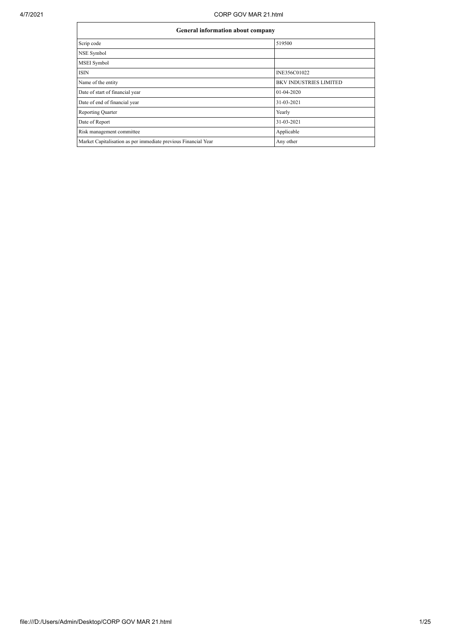## 4/7/2021 CORP GOV MAR 21.html

| General information about company                              |                               |  |  |  |  |
|----------------------------------------------------------------|-------------------------------|--|--|--|--|
| Scrip code                                                     | 519500                        |  |  |  |  |
| NSE Symbol                                                     |                               |  |  |  |  |
| MSEI Symbol                                                    |                               |  |  |  |  |
| <b>ISIN</b>                                                    | INE356C01022                  |  |  |  |  |
| Name of the entity                                             | <b>BKV INDUSTRIES LIMITED</b> |  |  |  |  |
| Date of start of financial year                                | 01-04-2020                    |  |  |  |  |
| Date of end of financial year                                  | 31-03-2021                    |  |  |  |  |
| Reporting Quarter                                              | Yearly                        |  |  |  |  |
| Date of Report                                                 | 31-03-2021                    |  |  |  |  |
| Risk management committee                                      | Applicable                    |  |  |  |  |
| Market Capitalisation as per immediate previous Financial Year | Any other                     |  |  |  |  |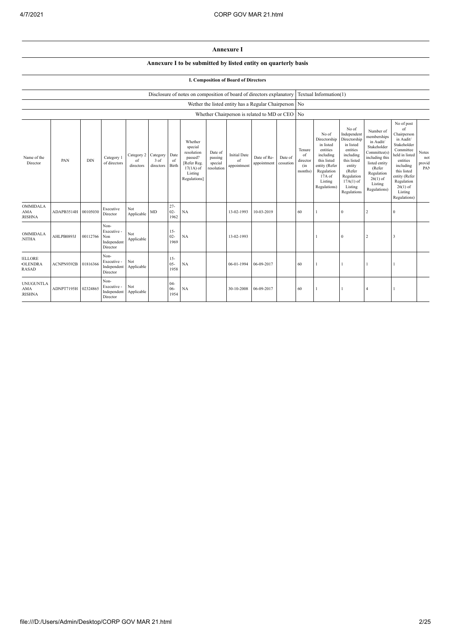## **Annexure I**

## **Annexure I to be submitted by listed entity on quarterly basis**

## **I. Composition of Board of Directors**

|                                                 | Disclosure of notes on composition of board of directors explanatory |            |                                                       |                                        |                   |                          |                                                                                                      |                                             | Textual Information(1)                                |                            |                      |                                            |                                                                                                                                                |                                                                                                                                                                      |                                                                                                                                                                          |                                                                                                                                                                                                            |                               |
|-------------------------------------------------|----------------------------------------------------------------------|------------|-------------------------------------------------------|----------------------------------------|-------------------|--------------------------|------------------------------------------------------------------------------------------------------|---------------------------------------------|-------------------------------------------------------|----------------------------|----------------------|--------------------------------------------|------------------------------------------------------------------------------------------------------------------------------------------------|----------------------------------------------------------------------------------------------------------------------------------------------------------------------|--------------------------------------------------------------------------------------------------------------------------------------------------------------------------|------------------------------------------------------------------------------------------------------------------------------------------------------------------------------------------------------------|-------------------------------|
|                                                 |                                                                      |            |                                                       |                                        |                   |                          |                                                                                                      |                                             | Wether the listed entity has a Regular Chairperson No |                            |                      |                                            |                                                                                                                                                |                                                                                                                                                                      |                                                                                                                                                                          |                                                                                                                                                                                                            |                               |
|                                                 |                                                                      |            |                                                       |                                        |                   |                          |                                                                                                      |                                             | Whether Chairperson is related to MD or CEO No        |                            |                      |                                            |                                                                                                                                                |                                                                                                                                                                      |                                                                                                                                                                          |                                                                                                                                                                                                            |                               |
| Name of the<br>Director                         | PAN                                                                  | <b>DIN</b> | Category 1<br>of directors                            | Category 2 Category<br>of<br>directors | 3 of<br>directors | Date<br>of<br>Birth      | Whether<br>special<br>resolution<br>passed?<br>[Refer Reg.<br>$17(1A)$ of<br>Listing<br>Regulations] | Date of<br>passing<br>special<br>resolution | <b>Initial Date</b><br>of<br>appointment              | Date of Re-<br>appointment | Date of<br>cessation | Tenure<br>of<br>director<br>(in<br>months) | No of<br>Directorship<br>in listed<br>entities<br>including<br>this listed<br>entity (Refer<br>Regulation<br>17A of<br>Listing<br>Regulations) | No of<br>Independent<br>Directorship<br>in listed<br>entities<br>including<br>this listed<br>entity<br>(Refer<br>Regulation<br>$17A(1)$ of<br>Listing<br>Regulations | Number of<br>memberships<br>in Audit/<br>Stakeholder<br>Committee(s)<br>including this<br>listed entity<br>(Refer<br>Regulation<br>$26(1)$ of<br>Listing<br>Regulations) | No of post<br>of<br>Chairperson<br>in Audit/<br>Stakeholder<br>Committee<br>held in listed<br>entities<br>including<br>this listed<br>entity (Refer<br>Regulation<br>$26(1)$ of<br>Listing<br>Regulations) | Notes<br>not<br>provid<br>PAN |
| <b>OMMIDALA</b><br><b>AMA</b><br><b>RISHNA</b>  | ADAPB3514H 00105030                                                  |            | Executive<br>Director                                 | Not<br>Applicable                      | MD                | $27 -$<br>$02 -$<br>1962 | NA                                                                                                   |                                             | 13-02-1993                                            | 10-03-2019                 |                      | 60                                         |                                                                                                                                                | $\mathbf{0}$                                                                                                                                                         | 2                                                                                                                                                                        | $\mathbf{0}$                                                                                                                                                                                               |                               |
| <b>OMMIDALA</b><br><b>NITHA</b>                 | AHLPB0893J                                                           | 00112766   | Non-<br>Executive -<br>Non<br>Independent<br>Director | Not<br>Applicable                      |                   | $15 -$<br>$02 -$<br>1969 | NA                                                                                                   |                                             | 13-02-1993                                            |                            |                      |                                            |                                                                                                                                                | $\Omega$                                                                                                                                                             | $\overline{2}$                                                                                                                                                           | 3                                                                                                                                                                                                          |                               |
| <b>ELLORE</b><br><b>OLENDRA</b><br><b>RASAD</b> | ACNPN9392B                                                           | 01816366   | Non-<br>Executive -<br>Independent<br>Director        | Not<br>Applicable                      |                   | $15 -$<br>$05 -$<br>1958 | NA                                                                                                   |                                             | 06-01-1994                                            | 06-09-2017                 |                      | 60                                         |                                                                                                                                                |                                                                                                                                                                      |                                                                                                                                                                          |                                                                                                                                                                                                            |                               |
| <b>UNUGUNTLA</b><br><b>AMA</b><br><b>RISHNA</b> | ADNPT7195H                                                           | 02324865   | Non-<br>Executive -<br>Independent<br>Director        | Not<br>Applicable                      |                   | $04 -$<br>$06-$<br>1954  | NA                                                                                                   |                                             | 30-10-2008                                            | 06-09-2017                 |                      | 60                                         |                                                                                                                                                |                                                                                                                                                                      |                                                                                                                                                                          |                                                                                                                                                                                                            |                               |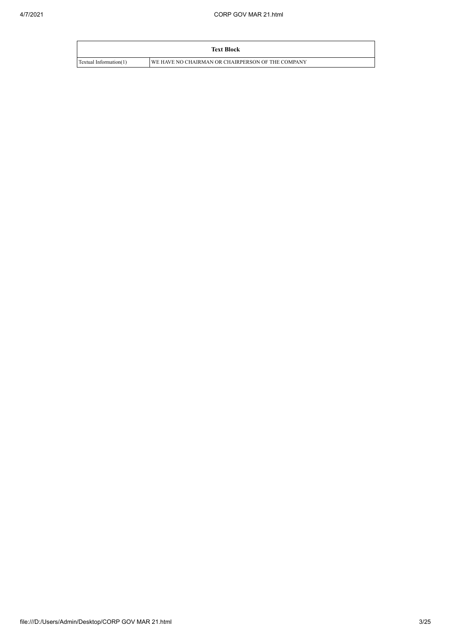|                        | <b>Text Block</b>                                 |
|------------------------|---------------------------------------------------|
| Textual Information(1) | WE HAVE NO CHAIRMAN OR CHAIRPERSON OF THE COMPANY |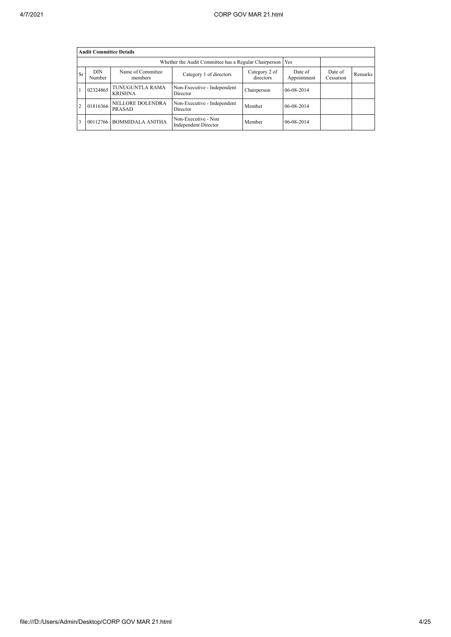|    | <b>Audit Committee Details</b> |                                   |                                                                      |             |            |                      |         |  |  |  |
|----|--------------------------------|-----------------------------------|----------------------------------------------------------------------|-------------|------------|----------------------|---------|--|--|--|
|    |                                |                                   | Whether the Audit Committee has a Regular Chairperson   Yes          |             |            |                      |         |  |  |  |
| Sr | <b>DIN</b><br>Number           | Name of Committee<br>members      | Category 2 of<br>Category 1 of directors<br>directors<br>Appointment |             |            | Date of<br>Cessation | Remarks |  |  |  |
|    | 02324865                       | TUNUGUNTLA RAMA<br><b>KRISHNA</b> | Non-Executive - Independent<br>Director                              | Chairperson | 06-08-2014 |                      |         |  |  |  |
|    | 01816366                       | NELLORE DOLENDRA<br>PRASAD        | Non-Executive - Independent<br>Director                              | Member      | 06-08-2014 |                      |         |  |  |  |
|    | 00112766                       | <b>BOMMIDALA ANITHA</b>           | Non-Executive - Non<br><b>Independent Director</b>                   | Member      | 06-08-2014 |                      |         |  |  |  |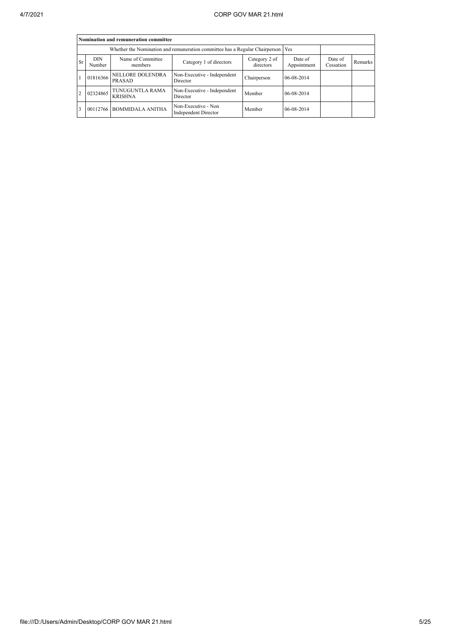|               | Nomination and remuneration committee                                                                         |                                                                                   |                                                    |             |                        |                      |         |  |  |  |
|---------------|---------------------------------------------------------------------------------------------------------------|-----------------------------------------------------------------------------------|----------------------------------------------------|-------------|------------------------|----------------------|---------|--|--|--|
|               |                                                                                                               | Whether the Nomination and remuneration committee has a Regular Chairperson   Yes |                                                    |             |                        |                      |         |  |  |  |
| <b>Sr</b>     | Name of Committee<br><b>DIN</b><br>Category 2 of<br>Category 1 of directors<br>directors<br>Number<br>members |                                                                                   |                                                    |             | Date of<br>Appointment | Date of<br>Cessation | Remarks |  |  |  |
|               | 01816366                                                                                                      | NELLORE DOLENDRA<br>PRASAD                                                        | Non-Executive - Independent<br>Director            | Chairperson | 06-08-2014             |                      |         |  |  |  |
| $\mathcal{D}$ | 02324865                                                                                                      | TUNUGUNTLA RAMA<br><b>KRISHNA</b>                                                 | Non-Executive - Independent<br>Director            | Member      | 06-08-2014             |                      |         |  |  |  |
| 3             |                                                                                                               | 00112766 BOMMIDALA ANITHA                                                         | Non-Executive - Non<br><b>Independent Director</b> | Member      | 06-08-2014             |                      |         |  |  |  |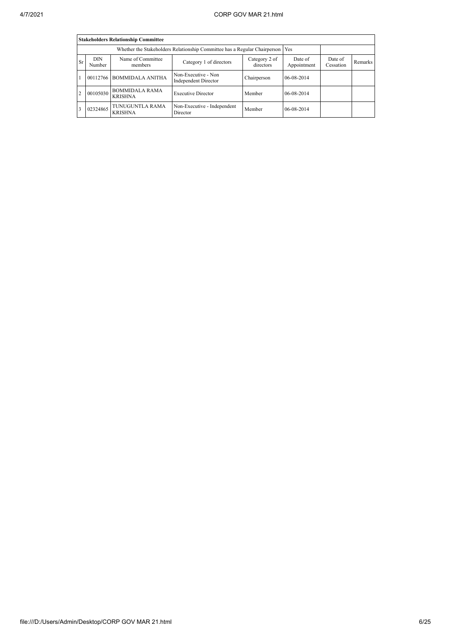|                | <b>Stakeholders Relationship Committee</b> |                                                                                 |                                             |                            |                        |                      |         |  |  |  |
|----------------|--------------------------------------------|---------------------------------------------------------------------------------|---------------------------------------------|----------------------------|------------------------|----------------------|---------|--|--|--|
|                |                                            | Whether the Stakeholders Relationship Committee has a Regular Chairperson   Yes |                                             |                            |                        |                      |         |  |  |  |
| <b>Sr</b>      | <b>DIN</b><br>Number                       | Name of Committee<br>members                                                    | Category 1 of directors                     | Category 2 of<br>directors | Date of<br>Appointment | Date of<br>Cessation | Remarks |  |  |  |
| $\mathbf{1}$   |                                            | 00112766 BOMMIDALA ANITHA                                                       | Non-Executive - Non<br>Independent Director | Chairperson                | 06-08-2014             |                      |         |  |  |  |
| $\overline{2}$ | 00105030                                   | <b>BOMMIDALA RAMA</b><br><b>KRISHNA</b>                                         | <b>Executive Director</b>                   | Member                     | 06-08-2014             |                      |         |  |  |  |
| 3              | 02324865                                   | TUNUGUNTLA RAMA<br><b>KRISHNA</b>                                               | Non-Executive - Independent<br>Director     | Member                     | 06-08-2014             |                      |         |  |  |  |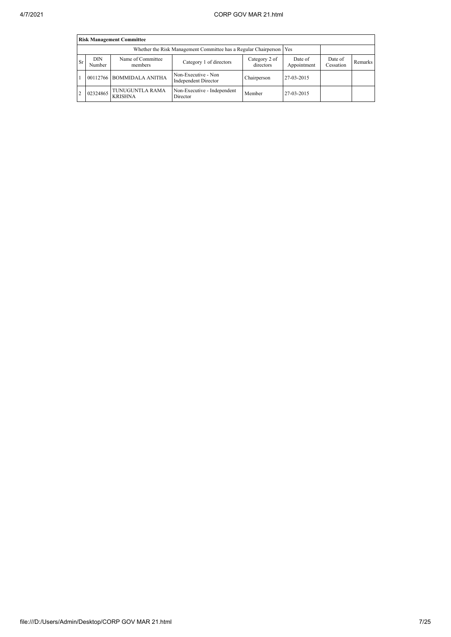|                | <b>Risk Management Committee</b> |                                                                                       |                                                                       |                        |                      |         |  |  |  |  |
|----------------|----------------------------------|---------------------------------------------------------------------------------------|-----------------------------------------------------------------------|------------------------|----------------------|---------|--|--|--|--|
|                |                                  |                                                                                       | Whether the Risk Management Committee has a Regular Chairperson   Yes |                        |                      |         |  |  |  |  |
| <b>Sr</b>      | <b>DIN</b><br>Number             | Name of Committee<br>Category 2 of<br>Category 1 of directors<br>directors<br>members |                                                                       | Date of<br>Appointment | Date of<br>Cessation | Remarks |  |  |  |  |
|                |                                  | 00112766 BOMMIDALA ANITHA                                                             | Non-Executive - Non<br>Independent Director                           | Chairperson            | 27-03-2015           |         |  |  |  |  |
| $\overline{2}$ | 02324865                         | TUNUGUNTLA RAMA<br><b>KRISHNA</b>                                                     | Non-Executive - Independent<br>Director                               | Member                 | 27-03-2015           |         |  |  |  |  |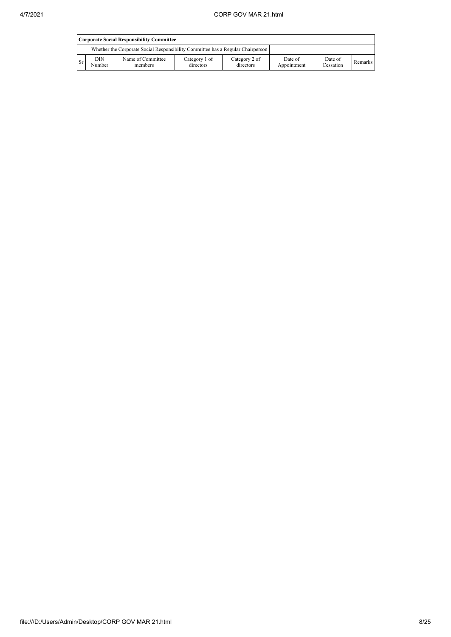|      | Corporate Social Responsibility Committee |                                                                                 |                            |                            |                        |                      |         |  |
|------|-------------------------------------------|---------------------------------------------------------------------------------|----------------------------|----------------------------|------------------------|----------------------|---------|--|
|      |                                           | Whether the Corporate Social Responsibility Committee has a Regular Chairperson |                            |                            |                        |                      |         |  |
| l Sr | DIN<br>Number                             | Name of Committee<br>members                                                    | Category 1 of<br>directors | Category 2 of<br>directors | Date of<br>Appointment | Date of<br>Cessation | Remarks |  |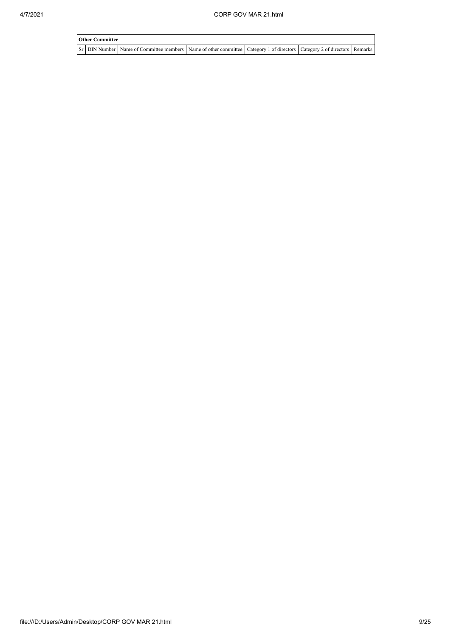| <b>Other Committee</b> |                                                                                                                                     |  |  |  |  |  |  |  |  |
|------------------------|-------------------------------------------------------------------------------------------------------------------------------------|--|--|--|--|--|--|--|--|
|                        | Sr   DIN Number   Name of Committee members   Name of other committee   Category 1 of directors   Category 2 of directors   Remarks |  |  |  |  |  |  |  |  |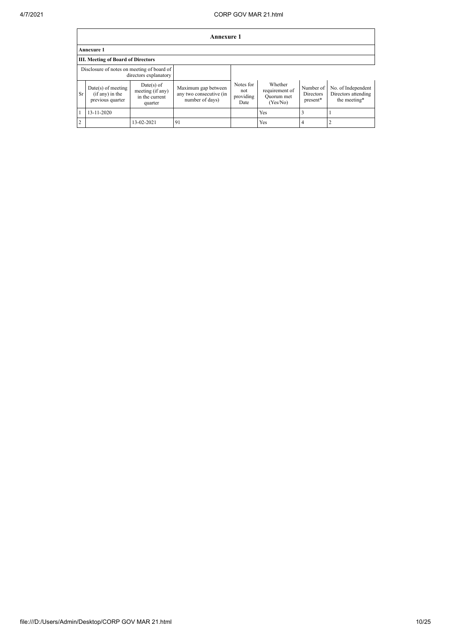|                | Annexure 1                                                     |                                                               |                                                                   |                                       |                                                     |                                    |                                                           |  |
|----------------|----------------------------------------------------------------|---------------------------------------------------------------|-------------------------------------------------------------------|---------------------------------------|-----------------------------------------------------|------------------------------------|-----------------------------------------------------------|--|
|                | <b>Annexure 1</b>                                              |                                                               |                                                                   |                                       |                                                     |                                    |                                                           |  |
|                | <b>III. Meeting of Board of Directors</b>                      |                                                               |                                                                   |                                       |                                                     |                                    |                                                           |  |
|                | Disclosure of notes on meeting of board of                     | directors explanatory                                         |                                                                   |                                       |                                                     |                                    |                                                           |  |
| Sr             | $Date(s)$ of meeting<br>$(i f any)$ in the<br>previous quarter | $Date(s)$ of<br>meeting (if any)<br>in the current<br>quarter | Maximum gap between<br>any two consecutive (in<br>number of days) | Notes for<br>not<br>providing<br>Date | Whether<br>requirement of<br>Quorum met<br>(Yes/No) | Number of<br>Directors<br>present* | No. of Independent<br>Directors attending<br>the meeting* |  |
|                | 13-11-2020                                                     |                                                               |                                                                   |                                       | Yes                                                 | 3                                  |                                                           |  |
| $\overline{c}$ |                                                                | 13-02-2021                                                    | 91                                                                |                                       | Yes                                                 | 4                                  |                                                           |  |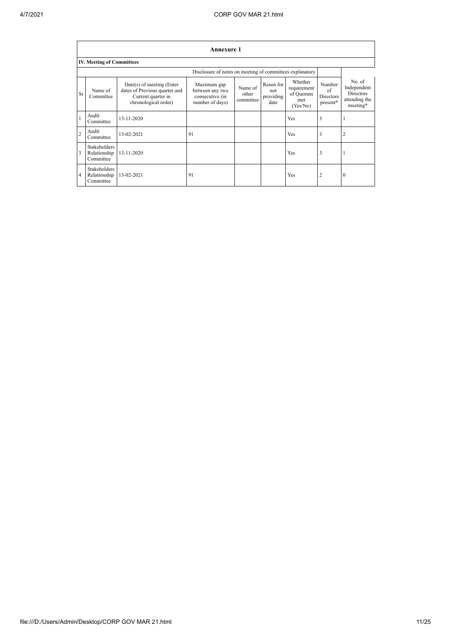|                | <b>Annexure 1</b>                                |                                                                                                            |                                                                      |                               |                                       |                                                        |                                       |                                                                        |  |  |
|----------------|--------------------------------------------------|------------------------------------------------------------------------------------------------------------|----------------------------------------------------------------------|-------------------------------|---------------------------------------|--------------------------------------------------------|---------------------------------------|------------------------------------------------------------------------|--|--|
|                | <b>IV. Meeting of Committees</b>                 |                                                                                                            |                                                                      |                               |                                       |                                                        |                                       |                                                                        |  |  |
|                |                                                  |                                                                                                            | Disclosure of notes on meeting of committees explanatory             |                               |                                       |                                                        |                                       |                                                                        |  |  |
| Sr             | Name of<br>Committee                             | $Date(s)$ of meeting (Enter<br>dates of Previous quarter and<br>Current quarter in<br>chronological order) | Maximum gap<br>between any two<br>consecutive (in<br>number of days) | Name of<br>other<br>committee | Reson for<br>not<br>providing<br>date | Whether<br>requirement<br>of Quorum<br>met<br>(Yes/No) | Number<br>of<br>Directors<br>present* | No. of<br>Independent<br><b>Directors</b><br>attending the<br>meeting* |  |  |
| $\mathbf{1}$   | Audit<br>Committee                               | 13-11-2020                                                                                                 |                                                                      |                               |                                       | <b>Yes</b>                                             | 3                                     |                                                                        |  |  |
| $\overline{2}$ | Audit<br>Committee                               | 13-02-2021                                                                                                 | 91                                                                   |                               |                                       | <b>Yes</b>                                             | 3                                     |                                                                        |  |  |
| 3              | <b>Stakeholders</b><br>Relationship<br>Committee | 13-11-2020                                                                                                 |                                                                      |                               |                                       | <b>Yes</b>                                             | 3                                     |                                                                        |  |  |
| 4              | <b>Stakeholders</b><br>Relationship<br>Committee | 13-02-2021                                                                                                 | 91                                                                   |                               |                                       | Yes                                                    | $\overline{2}$                        | $\theta$                                                               |  |  |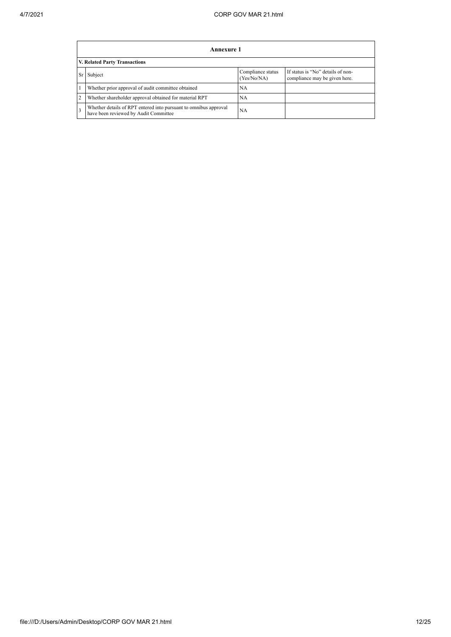|                | Annexure 1                                                                                                |                                  |                                                                    |  |  |  |  |  |  |
|----------------|-----------------------------------------------------------------------------------------------------------|----------------------------------|--------------------------------------------------------------------|--|--|--|--|--|--|
|                | V. Related Party Transactions                                                                             |                                  |                                                                    |  |  |  |  |  |  |
| Sr             | Subject                                                                                                   | Compliance status<br>(Yes/No/NA) | If status is "No" details of non-<br>compliance may be given here. |  |  |  |  |  |  |
|                | Whether prior approval of audit committee obtained                                                        | <b>NA</b>                        |                                                                    |  |  |  |  |  |  |
| $\overline{2}$ | Whether shareholder approval obtained for material RPT                                                    | <b>NA</b>                        |                                                                    |  |  |  |  |  |  |
| 3              | Whether details of RPT entered into pursuant to omnibus approval<br>have been reviewed by Audit Committee | <b>NA</b>                        |                                                                    |  |  |  |  |  |  |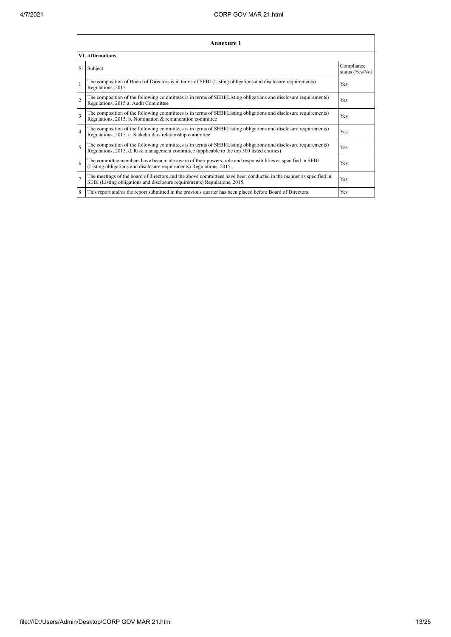|                | Annexure 1                                                                                                                                                                                                      |                               |  |  |
|----------------|-----------------------------------------------------------------------------------------------------------------------------------------------------------------------------------------------------------------|-------------------------------|--|--|
|                | <b>VI.</b> Affirmations                                                                                                                                                                                         |                               |  |  |
|                | Sr Subject                                                                                                                                                                                                      | Compliance<br>status (Yes/No) |  |  |
| $\mathbf{1}$   | The composition of Board of Directors is in terms of SEBI (Listing obligations and disclosure requirements)<br>Regulations, 2015                                                                                | Yes                           |  |  |
| $\mathfrak{D}$ | The composition of the following committees is in terms of SEBI(Listing obligations and disclosure requirements)<br>Regulations, 2015 a. Audit Committee                                                        | <b>Yes</b>                    |  |  |
| 3              | The composition of the following committees is in terms of SEBI(Listing obligations and disclosure requirements)<br>Regulations, 2015. b. Nomination & remuneration committee                                   | Yes                           |  |  |
| $\overline{4}$ | The composition of the following committees is in terms of SEBI(Listing obligations and disclosure requirements)<br>Regulations, 2015. c. Stakeholders relationship committee                                   | <b>Yes</b>                    |  |  |
| 5              | The composition of the following committees is in terms of SEBI(Listing obligations and disclosure requirements)<br>Regulations, 2015. d. Risk management committee (applicable to the top 500 listed entities) | <b>Yes</b>                    |  |  |
| 6              | The committee members have been made aware of their powers, role and responsibilities as specified in SEBI<br>(Listing obligations and disclosure requirements) Regulations, 2015.                              | Yes                           |  |  |
| $\overline{7}$ | The meetings of the board of directors and the above committees have been conducted in the manner as specified in<br>SEBI (Listing obligations and disclosure requirements) Regulations, 2015.                  | Yes                           |  |  |
| 8              | This report and/or the report submitted in the previous quarter has been placed before Board of Directors.                                                                                                      | Yes                           |  |  |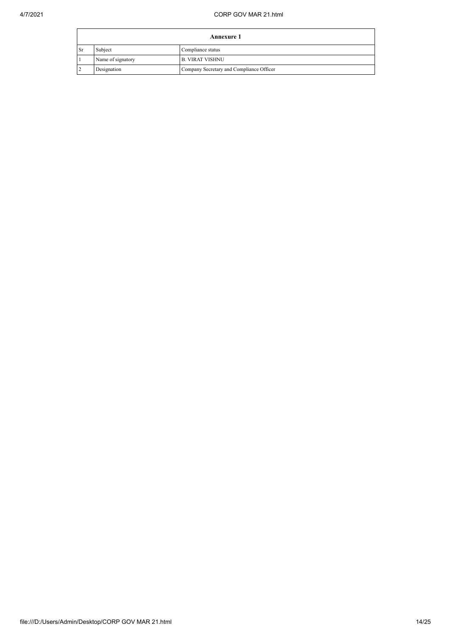|      | <b>Annexure 1</b> |                                          |
|------|-------------------|------------------------------------------|
| ' Sr | Subject           | Compliance status                        |
|      | Name of signatory | <b>B. VIRAT VISHNU</b>                   |
|      | Designation       | Company Secretary and Compliance Officer |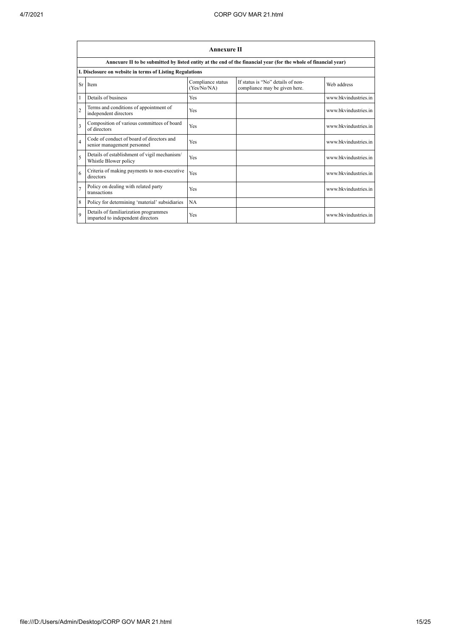|                          | <b>Annexure II</b>                                                         |                                  |                                                                                                                 |                      |
|--------------------------|----------------------------------------------------------------------------|----------------------------------|-----------------------------------------------------------------------------------------------------------------|----------------------|
|                          |                                                                            |                                  | Annexure II to be submitted by listed entity at the end of the financial year (for the whole of financial year) |                      |
|                          | I. Disclosure on website in terms of Listing Regulations                   |                                  |                                                                                                                 |                      |
| <b>Sr</b>                | Item                                                                       | Compliance status<br>(Yes/No/NA) | If status is "No" details of non-<br>compliance may be given here.                                              | Web address          |
|                          | Details of business                                                        | Yes                              |                                                                                                                 | www.bkvindustries.in |
| $\overline{2}$           | Terms and conditions of appointment of<br>independent directors            | Yes                              |                                                                                                                 | www.bkvindustries.in |
| $\overline{\mathbf{3}}$  | Composition of various committees of board<br>of directors                 | Yes                              |                                                                                                                 | www.bkvindustries.in |
| $\overline{\mathbf{4}}$  | Code of conduct of board of directors and<br>senior management personnel   | Yes                              |                                                                                                                 | www.bkvindustries.in |
| $\overline{\phantom{0}}$ | Details of establishment of vigil mechanism/<br>Whistle Blower policy      | Yes                              |                                                                                                                 | www.bkvindustries.in |
| 6                        | Criteria of making payments to non-executive<br>directors                  | Yes                              |                                                                                                                 | www.bkvindustries.in |
| $\overline{7}$           | Policy on dealing with related party<br>transactions                       | Yes                              |                                                                                                                 | www.bkvindustries.in |
| 8                        | Policy for determining 'material' subsidiaries                             | NA                               |                                                                                                                 |                      |
| $\mathbf Q$              | Details of familiarization programmes<br>imparted to independent directors | Yes                              |                                                                                                                 | www.bkvindustries.in |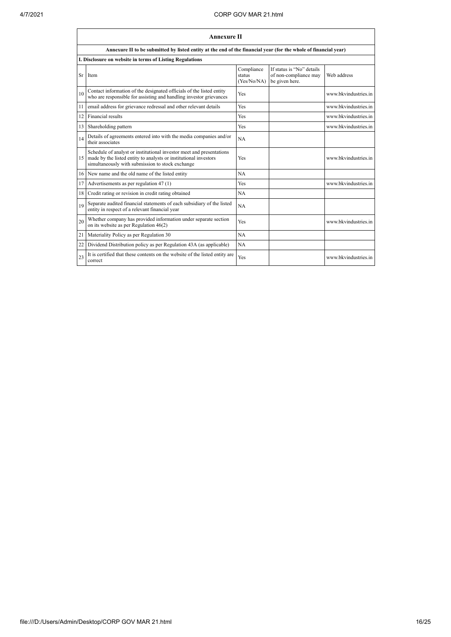|    | <b>Annexure II</b>                                                                                                                                                                           |                                     |                                                                      |                      |
|----|----------------------------------------------------------------------------------------------------------------------------------------------------------------------------------------------|-------------------------------------|----------------------------------------------------------------------|----------------------|
|    | Annexure II to be submitted by listed entity at the end of the financial year (for the whole of financial year)                                                                              |                                     |                                                                      |                      |
|    | I. Disclosure on website in terms of Listing Regulations                                                                                                                                     |                                     |                                                                      |                      |
| Sr | <b>I</b> tem                                                                                                                                                                                 | Compliance<br>status<br>(Yes/No/NA) | If status is "No" details<br>of non-compliance may<br>be given here. | Web address          |
| 10 | Contact information of the designated officials of the listed entity<br>who are responsible for assisting and handling investor grievances                                                   | Yes                                 |                                                                      | www.bkvindustries.in |
| 11 | email address for grievance redressal and other relevant details                                                                                                                             | Yes                                 |                                                                      | www.bkvindustries.in |
| 12 | Financial results                                                                                                                                                                            | Yes                                 |                                                                      | www.bkvindustries.in |
| 13 | Shareholding pattern                                                                                                                                                                         | Yes                                 |                                                                      | www.bkvindustries.in |
| 14 | Details of agreements entered into with the media companies and/or<br>their associates                                                                                                       | NA                                  |                                                                      |                      |
| 15 | Schedule of analyst or institutional investor meet and presentations<br>made by the listed entity to analysts or institutional investors<br>simultaneously with submission to stock exchange | Yes                                 |                                                                      | www.bkvindustries.in |
|    | 16 New name and the old name of the listed entity                                                                                                                                            | NA                                  |                                                                      |                      |
| 17 | Advertisements as per regulation 47 (1)                                                                                                                                                      | Yes                                 |                                                                      | www.bkvindustries.in |
| 18 | Credit rating or revision in credit rating obtained                                                                                                                                          | <b>NA</b>                           |                                                                      |                      |
| 19 | Separate audited financial statements of each subsidiary of the listed<br>entity in respect of a relevant financial year                                                                     | NA                                  |                                                                      |                      |
| 20 | Whether company has provided information under separate section<br>on its website as per Regulation $46(2)$                                                                                  | Yes                                 |                                                                      | www.bkvindustries.in |
| 21 | Materiality Policy as per Regulation 30                                                                                                                                                      | NA                                  |                                                                      |                      |
| 22 | Dividend Distribution policy as per Regulation 43A (as applicable)                                                                                                                           | NA                                  |                                                                      |                      |
| 23 | It is certified that these contents on the website of the listed entity are<br>correct                                                                                                       | Yes                                 |                                                                      | www.bkvindustries.in |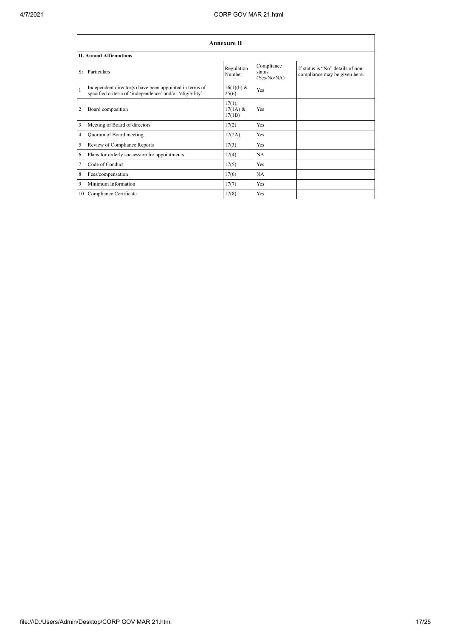|                | <b>Annexure II</b>                                                                                                   |                                   |                                     |                                                                    |  |
|----------------|----------------------------------------------------------------------------------------------------------------------|-----------------------------------|-------------------------------------|--------------------------------------------------------------------|--|
|                | <b>II. Annual Affirmations</b>                                                                                       |                                   |                                     |                                                                    |  |
| Sr             | Particulars                                                                                                          | Regulation<br>Number              | Compliance<br>status<br>(Yes/No/NA) | If status is "No" details of non-<br>compliance may be given here. |  |
| $\mathbf{1}$   | Independent director(s) have been appointed in terms of<br>specified criteria of 'independence' and/or 'eligibility' | 16(1)(b) &<br>25(6)               | Yes                                 |                                                                    |  |
| $\overline{2}$ | Board composition                                                                                                    | $17(1)$ ,<br>$17(1A)$ &<br>17(1B) | Yes                                 |                                                                    |  |
| 3              | Meeting of Board of directors                                                                                        | 17(2)                             | Yes                                 |                                                                    |  |
| 4              | Quorum of Board meeting                                                                                              | 17(2A)                            | Yes                                 |                                                                    |  |
| 5              | Review of Compliance Reports                                                                                         | 17(3)                             | Yes                                 |                                                                    |  |
| 6              | Plans for orderly succession for appointments                                                                        | 17(4)                             | NA                                  |                                                                    |  |
| $\overline{7}$ | Code of Conduct                                                                                                      | 17(5)                             | Yes                                 |                                                                    |  |
| 8              | Fees/compensation                                                                                                    | 17(6)                             | NA                                  |                                                                    |  |
| 9              | Minimum Information                                                                                                  | 17(7)                             | Yes                                 |                                                                    |  |
|                | 10 Compliance Certificate                                                                                            | 17(8)                             | Yes                                 |                                                                    |  |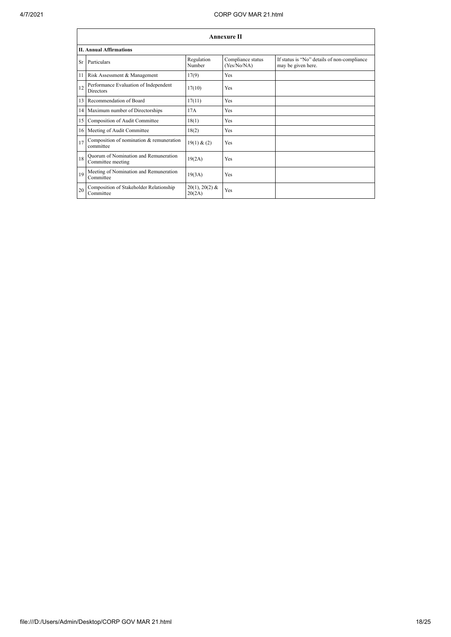|           | <b>Annexure II</b>                                         |                            |                                  |                                                                   |
|-----------|------------------------------------------------------------|----------------------------|----------------------------------|-------------------------------------------------------------------|
|           | <b>II. Annual Affirmations</b>                             |                            |                                  |                                                                   |
| <b>Sr</b> | Particulars                                                | Regulation<br>Number       | Compliance status<br>(Yes/No/NA) | If status is "No" details of non-compliance<br>may be given here. |
| 11        | Risk Assessment & Management                               | 17(9)                      | Yes                              |                                                                   |
| 12        | Performance Evaluation of Independent<br><b>Directors</b>  | 17(10)                     | Yes                              |                                                                   |
| 13        | Recommendation of Board                                    | 17(11)                     | Yes                              |                                                                   |
| 14        | Maximum number of Directorships                            | 17A                        | Yes                              |                                                                   |
| 15        | Composition of Audit Committee                             | 18(1)                      | Yes                              |                                                                   |
| 16        | Meeting of Audit Committee                                 | 18(2)                      | Yes                              |                                                                   |
| 17        | Composition of nomination & remuneration<br>committee      | 19(1) & (2)                | Yes                              |                                                                   |
| 18        | Quorum of Nomination and Remuneration<br>Committee meeting | 19(2A)                     | Yes                              |                                                                   |
| 19        | Meeting of Nomination and Remuneration<br>Committee        | 19(3A)                     | Yes                              |                                                                   |
| 20        | Composition of Stakeholder Relationship<br>Committee       | $20(1), 20(2)$ &<br>20(2A) | Yes                              |                                                                   |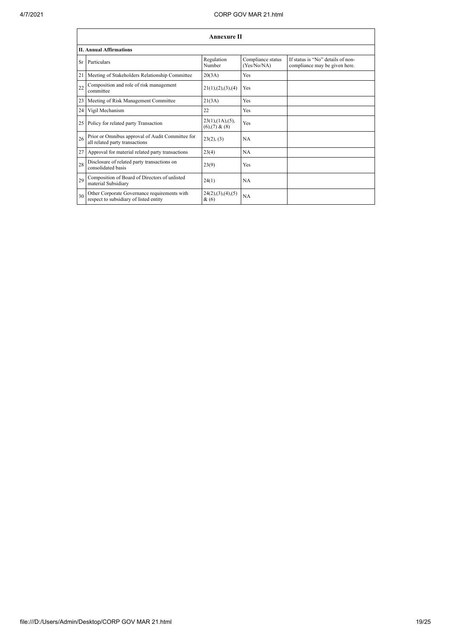|    | <b>Annexure II</b>                                                                     |                                                |                                  |                                                                    |
|----|----------------------------------------------------------------------------------------|------------------------------------------------|----------------------------------|--------------------------------------------------------------------|
|    | <b>II. Annual Affirmations</b>                                                         |                                                |                                  |                                                                    |
| Sr | Particulars                                                                            | Regulation<br>Number                           | Compliance status<br>(Yes/No/NA) | If status is "No" details of non-<br>compliance may be given here. |
| 21 | Meeting of Stakeholders Relationship Committee                                         | 20(3A)                                         | Yes                              |                                                                    |
| 22 | Composition and role of risk management<br>committee                                   | 21(1), (2), (3), (4)                           | Yes                              |                                                                    |
| 23 | Meeting of Risk Management Committee                                                   | 21(3A)                                         | Yes                              |                                                                    |
| 24 | Vigil Mechanism                                                                        | 22                                             | <b>Yes</b>                       |                                                                    |
| 25 | Policy for related party Transaction                                                   | $23(1)$ , $(1A)$ , $(5)$ ,<br>$(6)(7)$ & $(8)$ | Yes                              |                                                                    |
| 26 | Prior or Omnibus approval of Audit Committee for<br>all related party transactions     | 23(2), (3)                                     | <b>NA</b>                        |                                                                    |
| 27 | Approval for material related party transactions                                       | 23(4)                                          | <b>NA</b>                        |                                                                    |
| 28 | Disclosure of related party transactions on<br>consolidated basis                      | 23(9)                                          | Yes                              |                                                                    |
| 29 | Composition of Board of Directors of unlisted<br>material Subsidiary                   | 24(1)                                          | <b>NA</b>                        |                                                                    |
| 30 | Other Corporate Governance requirements with<br>respect to subsidiary of listed entity | 24(2),(3),(4),(5)<br>$\&(6)$                   | NA                               |                                                                    |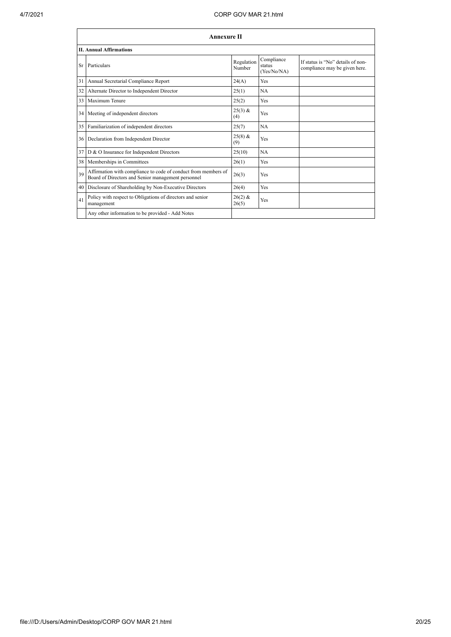|    | <b>Annexure II</b>                                                                                                   |                      |                                     |                                                                    |
|----|----------------------------------------------------------------------------------------------------------------------|----------------------|-------------------------------------|--------------------------------------------------------------------|
|    | <b>II. Annual Affirmations</b>                                                                                       |                      |                                     |                                                                    |
| Sr | Particulars                                                                                                          | Regulation<br>Number | Compliance<br>status<br>(Yes/No/NA) | If status is "No" details of non-<br>compliance may be given here. |
| 31 | Annual Secretarial Compliance Report                                                                                 | 24(A)                | Yes                                 |                                                                    |
| 32 | Alternate Director to Independent Director                                                                           | 25(1)                | <b>NA</b>                           |                                                                    |
| 33 | Maximum Tenure                                                                                                       | 25(2)                | Yes                                 |                                                                    |
|    | 34 Meeting of independent directors                                                                                  | $25(3)$ &<br>(4)     | Yes                                 |                                                                    |
|    | 35 Familiarization of independent directors                                                                          | 25(7)                | NA                                  |                                                                    |
|    | 36 Declaration from Independent Director                                                                             | $25(8)$ &<br>(9)     | Yes                                 |                                                                    |
|    | 37 D & O Insurance for Independent Directors                                                                         | 25(10)               | NA                                  |                                                                    |
|    | 38 Memberships in Committees                                                                                         | 26(1)                | Yes                                 |                                                                    |
| 39 | Affirmation with compliance to code of conduct from members of<br>Board of Directors and Senior management personnel | 26(3)                | Yes                                 |                                                                    |
|    | 40 Disclosure of Shareholding by Non-Executive Directors                                                             | 26(4)                | Yes                                 |                                                                    |
| 41 | Policy with respect to Obligations of directors and senior<br>management                                             | $26(2)$ &<br>26(5)   | Yes                                 |                                                                    |
|    | Any other information to be provided - Add Notes                                                                     |                      |                                     |                                                                    |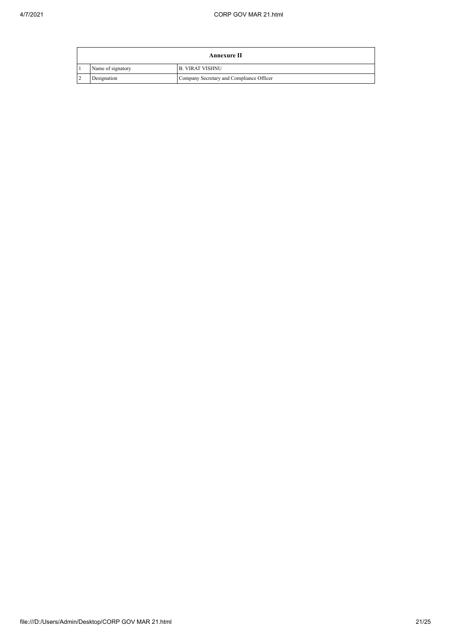| Annexure II       |                                          |  |
|-------------------|------------------------------------------|--|
| Name of signatory | <b>B. VIRAT VISHNU</b>                   |  |
| Designation       | Company Secretary and Compliance Officer |  |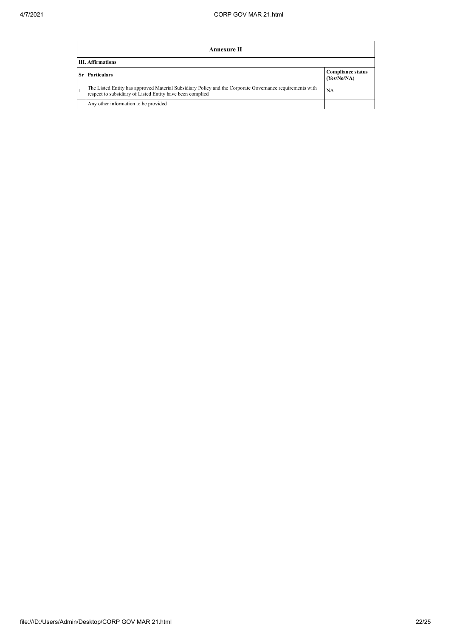| Annexure II                                                                                                                                                           |                                         |  |  |
|-----------------------------------------------------------------------------------------------------------------------------------------------------------------------|-----------------------------------------|--|--|
| <b>III.</b> Affirmations                                                                                                                                              |                                         |  |  |
| <b>Particulars</b>                                                                                                                                                    | <b>Compliance status</b><br>(Yes/No/NA) |  |  |
| The Listed Entity has approved Material Subsidiary Policy and the Corporate Governance requirements with<br>respect to subsidiary of Listed Entity have been complied | NA                                      |  |  |
| Any other information to be provided                                                                                                                                  |                                         |  |  |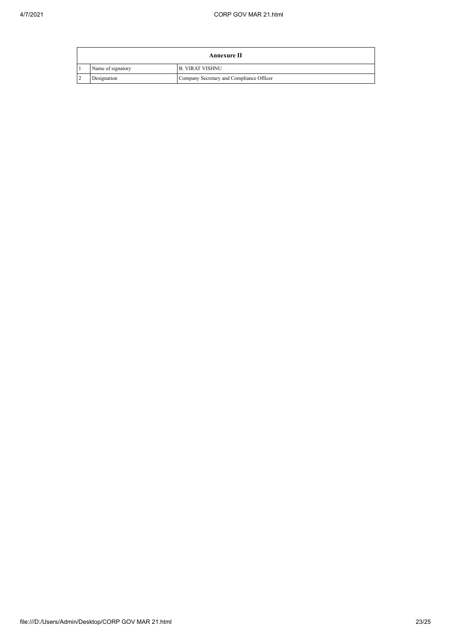| Annexure II       |                                          |  |
|-------------------|------------------------------------------|--|
| Name of signatory | <b>B. VIRAT VISHNU</b>                   |  |
| Designation       | Company Secretary and Compliance Officer |  |